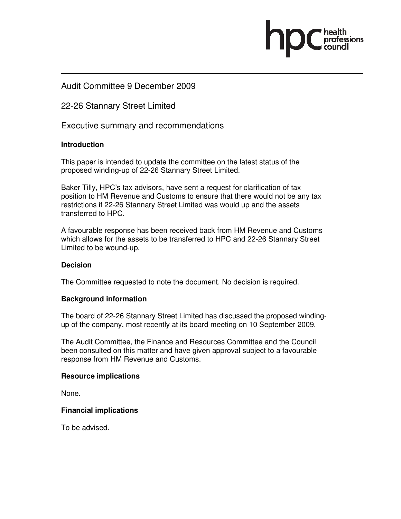### Audit Committee 9 December 2009

### 22-26 Stannary Street Limited

Executive summary and recommendations

#### **Introduction**

This paper is intended to update the committee on the latest status of the proposed winding-up of 22-26 Stannary Street Limited.

Baker Tilly, HPC's tax advisors, have sent a request for clarification of tax position to HM Revenue and Customs to ensure that there would not be any tax restrictions if 22-26 Stannary Street Limited was would up and the assets transferred to HPC.

A favourable response has been received back from HM Revenue and Customs which allows for the assets to be transferred to HPC and 22-26 Stannary Street Limited to be wound-up.

#### **Decision**

The Committee requested to note the document. No decision is required.

#### **Background information**

The board of 22-26 Stannary Street Limited has discussed the proposed windingup of the company, most recently at its board meeting on 10 September 2009.

The Audit Committee, the Finance and Resources Committee and the Council been consulted on this matter and have given approval subject to a favourable response from HM Revenue and Customs.

#### **Resource implications**

None.

#### **Financial implications**

To be advised.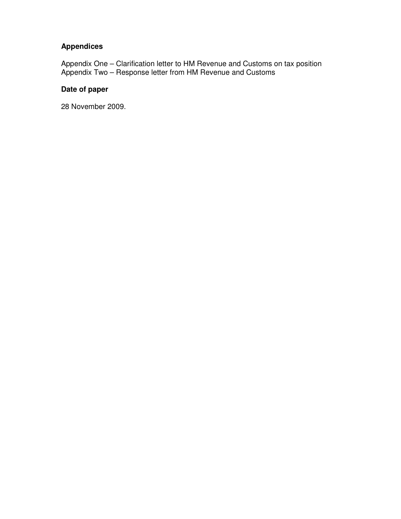### **Appendices**

Appendix One – Clarification letter to HM Revenue and Customs on tax position Appendix Two – Response letter from HM Revenue and Customs

#### **Date of paper**

28 November 2009.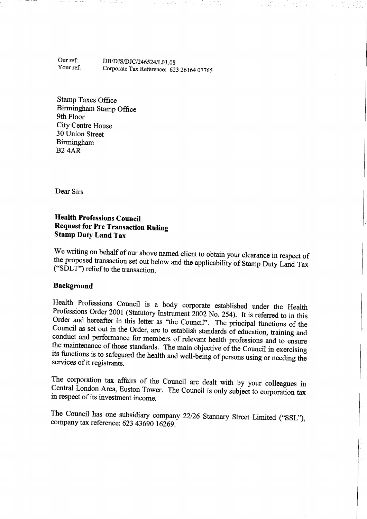Our ref: DB/DJS/DJC/246524/L01.08 Your ref: Corporate Tax Reference: 623 26164 07765

**Stamp Taxes Office** Birmingham Stamp Office 9th Floor **City Centre House** 30 Union Street Birmingham **B24AR** 

Dear Sirs

#### **Health Professions Council Request for Pre Transaction Ruling Stamp Duty Land Tax**

We writing on behalf of our above named client to obtain your clearance in respect of the proposed transaction set out below and the applicability of Stamp Duty Land Tax ("SDLT") relief to the transaction.

#### **Background**

Health Professions Council is a body corporate established under the Health Professions Order 2001 (Statutory Instrument 2002 No. 254). It is referred to in this Order and hereafter in this letter as "the Council". The principal functions of the Council as set out in the Order, are to establish standards of education, training and conduct and performance for members of relevant health professions and to ensure the maintenance of those standards. The main objective of the Council in exercising its functions is to safeguard the health and well-being of persons using or needing the services of it registrants.

The corporation tax affairs of the Council are dealt with by your colleagues in Central London Area, Euston Tower. The Council is only subject to corporation tax in respect of its investment income.

The Council has one subsidiary company 22/26 Stannary Street Limited ("SSL"), company tax reference: 623 43690 16269.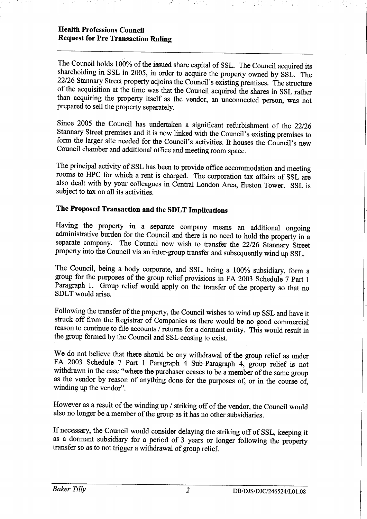#### **Health Professions Council Request for Pre Transaction Ruling**

The Council holds 100% of the issued share capital of SSL. The Council acquired its shareholding in SSL in 2005, in order to acquire the property owned by SSL. The 22/26 Stannary Street property adjoins the Council's existing premises. The structure of the acquisition at the time was that the Council acquired the shares in SSL rather than acquiring the property itself as the vendor, an unconnected person, was not prepared to sell the property separately.

Since 2005 the Council has undertaken a significant refurbishment of the 22/26 Stannary Street premises and it is now linked with the Council's existing premises to form the larger site needed for the Council's activities. It houses the Council's new Council chamber and additional office and meeting room space.

The principal activity of SSL has been to provide office accommodation and meeting rooms to HPC for which a rent is charged. The corporation tax affairs of SSL are also dealt with by your colleagues in Central London Area, Euston Tower. SSL is subject to tax on all its activities.

## The Proposed Transaction and the SDLT Implications

Having the property in a separate company means an additional ongoing administrative burden for the Council and there is no need to hold the property in a separate company. The Council now wish to transfer the 22/26 Stannary Street property into the Council via an inter-group transfer and subsequently wind up SSL.

The Council, being a body corporate, and SSL, being a 100% subsidiary, form a group for the purposes of the group relief provisions in FA 2003 Schedule 7 Part 1 Paragraph 1. Group relief would apply on the transfer of the property so that no SDLT would arise.

Following the transfer of the property, the Council wishes to wind up SSL and have it struck off from the Registrar of Companies as there would be no good commercial reason to continue to file accounts / returns for a dormant entity. This would result in the group formed by the Council and SSL ceasing to exist.

We do not believe that there should be any withdrawal of the group relief as under FA 2003 Schedule 7 Part 1 Paragraph 4 Sub-Paragraph 4, group relief is not withdrawn in the case "where the purchaser ceases to be a member of the same group as the vendor by reason of anything done for the purposes of, or in the course of, winding up the vendor".

However as a result of the winding up / striking off of the vendor, the Council would also no longer be a member of the group as it has no other subsidiaries.

If necessary, the Council would consider delaying the striking off of SSL, keeping it as a dormant subsidiary for a period of 3 years or longer following the property transfer so as to not trigger a withdrawal of group relief.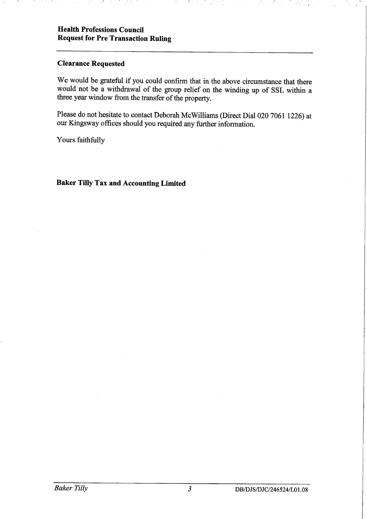#### **Clearance Requested**

We would be grateful if you could confirm that in the above circumstance that there would not be a withdrawal of the group relief on the winding up of SSL within a three year window from the transfer of the property.

Please do not hesitate to contact Deborah McWilliams (Direct Dial 020 7061 1226) at our Kingsway offices should you required any further information.

Yours faithfully

#### **Baker Tilly Tax and Accounting Limited**